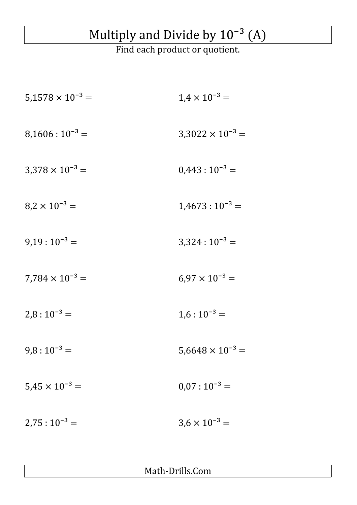## Multiply and Divide by  $10^{-3}$  (A)

Find each product or quotient.

| $5,1578 \times 10^{-3} =$ | $1.4 \times 10^{-3} =$    |
|---------------------------|---------------------------|
| $8,1606:10^{-3}$ =        | $3,3022 \times 10^{-3} =$ |
| $3.378 \times 10^{-3} =$  | $0,443:10^{-3}$ =         |
| $8.2 \times 10^{-3} =$    | $1,4673:10^{-3}$ =        |
| $9,19:10^{-3}$ =          | $3,324:10^{-3} =$         |
| $7,784 \times 10^{-3} =$  | $6.97 \times 10^{-3} =$   |
| $2,8:10^{-3}$ =           | $1,6:10^{-3} =$           |
| $9,8:10^{-3}$ =           | $5,6648 \times 10^{-3} =$ |
| $5,45 \times 10^{-3} =$   | $0.07:10^{-3} =$          |
| $2,75:10^{-3} =$          | $3.6 \times 10^{-3} =$    |